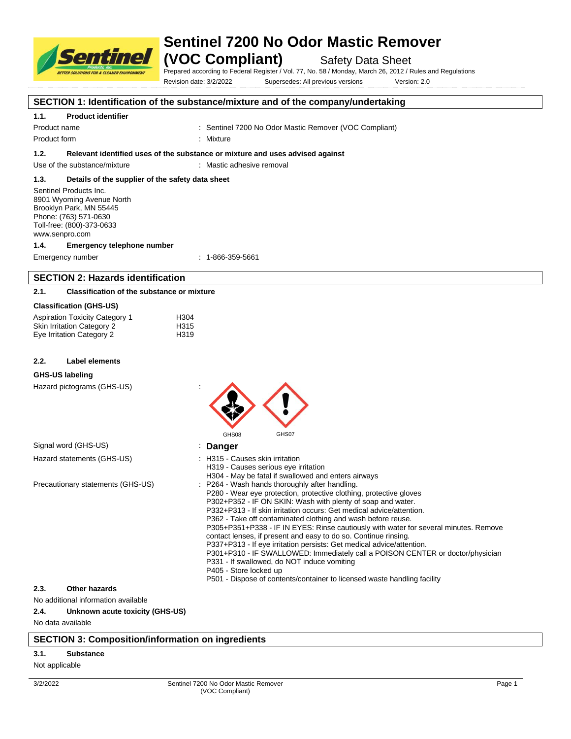

## **Sentinel 7200 No Odor Mastic Remover**

**(VOC Compliant)** Safety Data Sheet

Prepared according to Federal Register / Vol. 77, No. 58 / Monday, March 26, 2012 / Rules and Regulations Revision date: 3/2/2022 Supersedes: All previous versions Version: 2.0

## **SECTION 1: Identification of the substance/mixture and of the company/undertaking**

## **1.1. Product identifier**

Product name **Internal 200 No Or Sentinel 7200 No Odor Mastic Remover (VOC Compliant)** Product name

Product form **: Mixture** 

**1.2. Relevant identified uses of the substance or mixture and uses advised against**

Use of the substance/mixture : Mastic adhesive removal

## **1.3. Details of the supplier of the safety data sheet**

Sentinel Products Inc. 8901 Wyoming Avenue North Brooklyn Park, MN 55445 Phone: (763) 571-0630 Toll-free: (800)-373-0633 www.senpro.com

#### **1.4. Emergency telephone number**

Emergency number : 1-866-359-5661

## **SECTION 2: Hazards identification**

## **2.1. Classification of the substance or mixture**

## **Classification (GHS-US)**

| <b>Aspiration Toxicity Category 1</b> | H <sub>304</sub> |
|---------------------------------------|------------------|
| Skin Irritation Category 2            | H315             |
| Eye Irritation Category 2             | H319             |

#### **2.2. Label elements**

## **GHS-US labeling**

Hazard pictograms (GHS-US) :

| $\frac{1}{2}$                        | GHS07<br>GHS08                                                                                                                                                                                                                                                                                                                                                                                                                                                                                                                                                                                                                                                                                                                                                                                         |
|--------------------------------------|--------------------------------------------------------------------------------------------------------------------------------------------------------------------------------------------------------------------------------------------------------------------------------------------------------------------------------------------------------------------------------------------------------------------------------------------------------------------------------------------------------------------------------------------------------------------------------------------------------------------------------------------------------------------------------------------------------------------------------------------------------------------------------------------------------|
| Signal word (GHS-US)                 | : Danger                                                                                                                                                                                                                                                                                                                                                                                                                                                                                                                                                                                                                                                                                                                                                                                               |
| Hazard statements (GHS-US)           | : H315 - Causes skin irritation<br>H319 - Causes serious eye irritation<br>H304 - May be fatal if swallowed and enters airways                                                                                                                                                                                                                                                                                                                                                                                                                                                                                                                                                                                                                                                                         |
| Precautionary statements (GHS-US)    | : P264 - Wash hands thoroughly after handling.<br>P280 - Wear eye protection, protective clothing, protective gloves<br>P302+P352 - IF ON SKIN: Wash with plenty of soap and water.<br>P332+P313 - If skin irritation occurs: Get medical advice/attention.<br>P362 - Take off contaminated clothing and wash before reuse.<br>P305+P351+P338 - IF IN EYES: Rinse cautiously with water for several minutes. Remove<br>contact lenses, if present and easy to do so. Continue rinsing.<br>P337+P313 - If eye irritation persists: Get medical advice/attention.<br>P301+P310 - IF SWALLOWED: Immediately call a POISON CENTER or doctor/physician<br>P331 - If swallowed, do NOT induce vomiting<br>P405 - Store locked up<br>P501 - Dispose of contents/container to licensed waste handling facility |
| Other hazards<br>2.3.                |                                                                                                                                                                                                                                                                                                                                                                                                                                                                                                                                                                                                                                                                                                                                                                                                        |
| Alo additional information available |                                                                                                                                                                                                                                                                                                                                                                                                                                                                                                                                                                                                                                                                                                                                                                                                        |

## no and information and interval in the *informa*

## **2.4. Unknown acute toxicity (GHS-US)**

No data available

## **SECTION 3: Composition/information on ingredients**

## **3.1. Substance**

#### Not applicable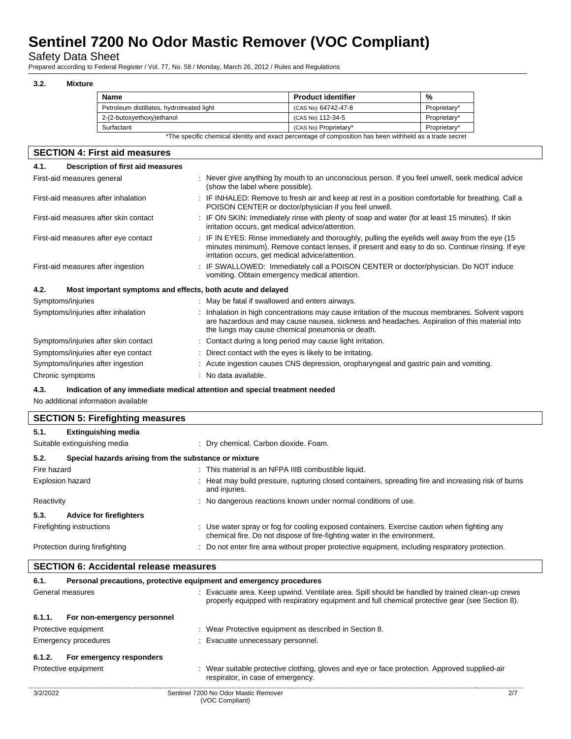Safety Data Sheet

Prepared according to Federal Register / Vol. 77, No. 58 / Monday, March 26, 2012 / Rules and Regulations

## **3.2. Mixture**

| <b>Name</b>                               | <b>Product identifier</b>                                                                               | %            |
|-------------------------------------------|---------------------------------------------------------------------------------------------------------|--------------|
| Petroleum distillates, hydrotreated light | (CAS No) 64742-47-8                                                                                     | Proprietary* |
| 2-(2-butoxyethoxy)ethanol                 | (CAS No) 112-34-5                                                                                       | Proprietary* |
| Surfactant                                | (CAS No) Proprietary*                                                                                   | Proprietary* |
|                                           | *The specific chemical identity and exact percentage of composition has been withheld as a trade secret |              |

## **SECTION 4: First aid measures 4.1. Description of first aid measures** First-aid measures general example and the ver give anything by mouth to an unconscious person. If you feel unwell, seek medical advice (show the label where possible). First-aid measures after inhalation : IF INHALED: Remove to fresh air and keep at rest in a position comfortable for breathing. Call a POISON CENTER or doctor/physician if you feel unwell. First-aid measures after skin contact : IF ON SKIN: Immediately rinse with plenty of soap and water (for at least 15 minutes). If skin irritation occurs, get medical advice/attention. First-aid measures after eye contact : IF IN EYES: Rinse immediately and thoroughly, pulling the eyelids well away from the eye (15 minutes minimum). Remove contact lenses, if present and easy to do so. Continue rinsing. If eye irritation occurs, get medical advice/attention. First-aid measures after ingestion : IF SWALLOWED: Immediately call a POISON CENTER or doctor/physician. Do NOT induce vomiting. Obtain emergency medical attention. **4.2. Most important symptoms and effects, both acute and delayed** Symptoms/injuries : May be fatal if swallowed and enters airways. Symptoms/injuries after inhalation : Inhalation in high concentrations may cause irritation of the mucous membranes. Solvent vapors are hazardous and may cause nausea, sickness and headaches. Aspiration of this material into the lungs may cause chemical pneumonia or death. Symptoms/injuries after skin contact : Contact during a long period may cause light irritation. Symptoms/injuries after eye contact : Direct contact with the eyes is likely to be irritating. Symptoms/injuries after ingestion : Acute ingestion causes CNS depression, oropharyngeal and gastric pain and vomiting.

Chronic symptoms  $\cdot$  No data available.

**4.3. Indication of any immediate medical attention and special treatment needed**

No additional information available

|             | <b>SECTION 5: Firefighting measures</b>               |                                                                                                                                                                         |  |
|-------------|-------------------------------------------------------|-------------------------------------------------------------------------------------------------------------------------------------------------------------------------|--|
| 5.1.        | <b>Extinguishing media</b>                            |                                                                                                                                                                         |  |
|             | Suitable extinguishing media                          | : Dry chemical. Carbon dioxide. Foam.                                                                                                                                   |  |
| 5.2.        | Special hazards arising from the substance or mixture |                                                                                                                                                                         |  |
| Fire hazard |                                                       | : This material is an NFPA IIIB combustible liquid.                                                                                                                     |  |
|             | <b>Explosion hazard</b>                               | Heat may build pressure, rupturing closed containers, spreading fire and increasing risk of burns<br>and injuries.                                                      |  |
| Reactivity  |                                                       | : No dangerous reactions known under normal conditions of use.                                                                                                          |  |
| 5.3.        | <b>Advice for firefighters</b>                        |                                                                                                                                                                         |  |
|             | Firefighting instructions                             | : Use water spray or fog for cooling exposed containers. Exercise caution when fighting any<br>chemical fire. Do not dispose of fire-fighting water in the environment. |  |
|             | Protection during firefighting                        | : Do not enter fire area without proper protective equipment, including respiratory protection.                                                                         |  |

| <b>SECTION 6: Accidental release measures</b> |  |  |  |  |
|-----------------------------------------------|--|--|--|--|
|-----------------------------------------------|--|--|--|--|

| 6.1.             | Personal precautions, protective equipment and emergency procedures |                                                                                                                                                                                                    |     |
|------------------|---------------------------------------------------------------------|----------------------------------------------------------------------------------------------------------------------------------------------------------------------------------------------------|-----|
| General measures |                                                                     | : Evacuate area. Keep upwind. Ventilate area. Spill should be handled by trained clean-up crews<br>properly equipped with respiratory equipment and full chemical protective gear (see Section 8). |     |
| 6.1.1.           | For non-emergency personnel                                         |                                                                                                                                                                                                    |     |
|                  | Protective equipment                                                | : Wear Protective equipment as described in Section 8.                                                                                                                                             |     |
|                  | Emergency procedures                                                | : Evacuate unnecessary personnel.                                                                                                                                                                  |     |
| 6.1.2.           | For emergency responders                                            |                                                                                                                                                                                                    |     |
|                  | Protective equipment                                                | : Wear suitable protective clothing, gloves and eye or face protection. Approved supplied-air<br>respirator, in case of emergency.                                                                 |     |
| 3/2/2022         |                                                                     | Sentinel 7200 No Odor Mastic Remover                                                                                                                                                               | 2/7 |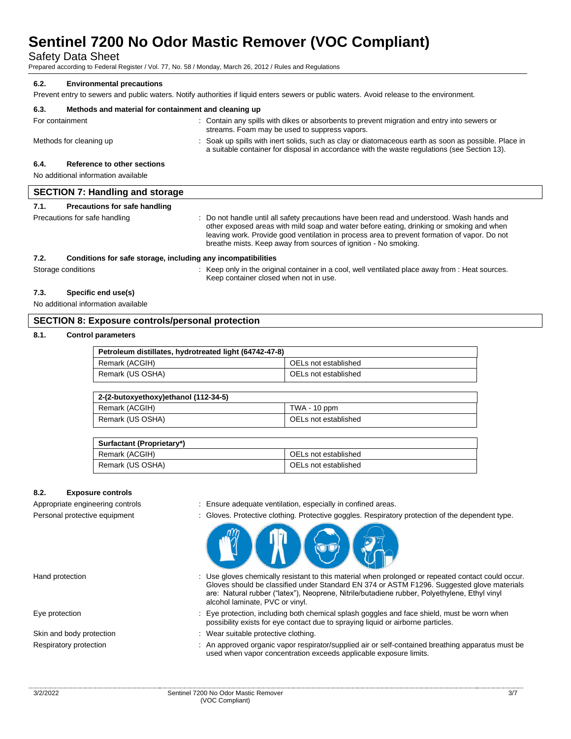Safety Data Sheet

Prepared according to Federal Register / Vol. 77, No. 58 / Monday, March 26, 2012 / Rules and Regulations

## **6.2. Environmental precautions**

Prevent entry to sewers and public waters. Notify authorities if liquid enters sewers or public waters. Avoid release to the environment.

| 6.3.            | Methods and material for containment and cleaning up |                                                                                                                                                                                                      |
|-----------------|------------------------------------------------------|------------------------------------------------------------------------------------------------------------------------------------------------------------------------------------------------------|
| For containment |                                                      | : Contain any spills with dikes or absorbents to prevent migration and entry into sewers or<br>streams. Foam may be used to suppress vapors.                                                         |
|                 | Methods for cleaning up                              | : Soak up spills with inert solids, such as clay or diatomaceous earth as soon as possible. Place in<br>a suitable container for disposal in accordance with the waste regulations (see Section 13). |
| 6.4.            | Reference to other sections                          |                                                                                                                                                                                                      |
|                 | No additional information available                  |                                                                                                                                                                                                      |
|                 | <b>SECTION 7: Handling and storage</b>               |                                                                                                                                                                                                      |
| 7.1.            | Precautions for safe handling                        |                                                                                                                                                                                                      |

|      | Precautions for safe handling                                | Do not handle until all safety precautions have been read and understood. Wash hands and<br>other exposed areas with mild soap and water before eating, drinking or smoking and when<br>leaving work. Provide good ventilation in process area to prevent formation of vapor. Do not<br>breathe mists. Keep away from sources of ignition - No smoking. |
|------|--------------------------------------------------------------|---------------------------------------------------------------------------------------------------------------------------------------------------------------------------------------------------------------------------------------------------------------------------------------------------------------------------------------------------------|
| 7.2. | Conditions for safe storage, including any incompatibilities |                                                                                                                                                                                                                                                                                                                                                         |
|      | Storage conditions                                           | Keep only in the original container in a cool, well ventilated place away from : Heat sources.                                                                                                                                                                                                                                                          |

Keep container closed when not in use.

## **7.3. Specific end use(s)**

No additional information available

## **SECTION 8: Exposure controls/personal protection**

## **8.1. Control parameters**

| Petroleum distillates, hydrotreated light (64742-47-8) |                      |
|--------------------------------------------------------|----------------------|
| Remark (ACGIH)                                         | OELs not established |
| Remark (US OSHA)                                       | OELs not established |

| 2-(2-butoxyethoxy)ethanol (112-34-5) |                      |
|--------------------------------------|----------------------|
| Remark (ACGIH)                       | TWA - 10 ppm         |
| Remark (US OSHA)                     | OELs not established |

| Surfactant (Proprietary*) |                      |
|---------------------------|----------------------|
| Remark (ACGIH)            | OELs not established |
| Remark (US OSHA)          | OELs not established |

## **8.2. Exposure controls**

- Appropriate engineering controls : Ensure adequate ventilation, especially in confined areas.
- Personal protective equipment : Gloves. Protective clothing. Protective goggles. Respiratory protection of the dependent type.



- Hand protection state of the contact could occur. Use gloves chemically resistant to this material when prolonged or repeated contact could occur. Gloves should be classified under Standard EN 374 or ASTM F1296. Suggested glove materials are: Natural rubber ("latex"), Neoprene, Nitrile/butadiene rubber, Polyethylene, Ethyl vinyl alcohol laminate, PVC or vinyl.
- Eye protection states of the protection, including both chemical splash goggles and face shield, must be worn when possibility exists for eye contact due to spraying liquid or airborne particles.
- Skin and body protection : Wear suitable protective clothing.
- Respiratory protection : An approved organic vapor respirator/supplied air or self-contained breathing apparatus must be used when vapor concentration exceeds applicable exposure limits.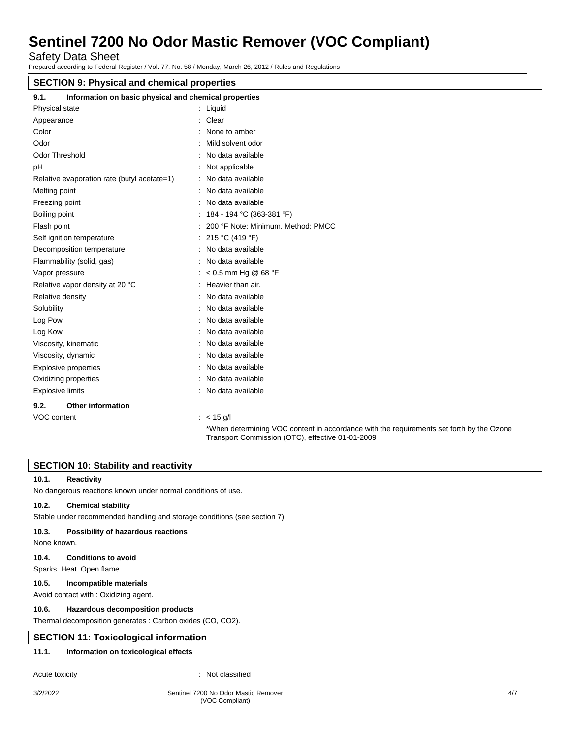Safety Data Sheet

Prepared according to Federal Register / Vol. 77, No. 58 / Monday, March 26, 2012 / Rules and Regulations

# **SECTION 9: Physical and chemical properties**

| 9.1.<br>Information on basic physical and chemical properties |                                                                                                                                              |
|---------------------------------------------------------------|----------------------------------------------------------------------------------------------------------------------------------------------|
| Physical state                                                | $:$ Liquid                                                                                                                                   |
| Appearance                                                    | Clear                                                                                                                                        |
| Color                                                         | None to amber                                                                                                                                |
| Odor                                                          | Mild solvent odor                                                                                                                            |
| <b>Odor Threshold</b>                                         | : No data available                                                                                                                          |
| рH                                                            | Not applicable                                                                                                                               |
| Relative evaporation rate (butyl acetate=1)                   | : No data available                                                                                                                          |
| Melting point                                                 | : No data available                                                                                                                          |
| Freezing point                                                | No data available                                                                                                                            |
| Boiling point                                                 | 184 - 194 °C (363-381 °F)                                                                                                                    |
| Flash point                                                   | 200 °F Note: Minimum. Method: PMCC                                                                                                           |
| Self ignition temperature                                     | 215 °C (419 °F)                                                                                                                              |
| Decomposition temperature                                     | No data available                                                                                                                            |
| Flammability (solid, gas)                                     | No data available                                                                                                                            |
| Vapor pressure                                                | : < 0.5 mm Hg @ 68 °F                                                                                                                        |
| Relative vapor density at 20 °C                               | : Heavier than air.                                                                                                                          |
| Relative density                                              | No data available                                                                                                                            |
| Solubility                                                    | No data available                                                                                                                            |
| Log Pow                                                       | No data available                                                                                                                            |
| Log Kow                                                       | No data available                                                                                                                            |
| Viscosity, kinematic                                          | No data available                                                                                                                            |
| Viscosity, dynamic                                            | No data available                                                                                                                            |
| <b>Explosive properties</b>                                   | No data available                                                                                                                            |
| Oxidizing properties                                          | : No data available                                                                                                                          |
| <b>Explosive limits</b>                                       | : No data available                                                                                                                          |
| 9.2.<br><b>Other information</b>                              |                                                                                                                                              |
| VOC content                                                   | $: < 15$ g/l                                                                                                                                 |
|                                                               | *When determining VOC content in accordance with the requirements set forth by the Ozone<br>Transport Commission (OTC), effective 01-01-2009 |

## **SECTION 10: Stability and reactivity**

## **10.1. Reactivity**

No dangerous reactions known under normal conditions of use.

## **10.2. Chemical stability**

Stable under recommended handling and storage conditions (see section 7).

#### **10.3. Possibility of hazardous reactions**

None known.

## **10.4. Conditions to avoid**

Sparks. Heat. Open flame.

## **10.5. Incompatible materials**

Avoid contact with : Oxidizing agent.

## **10.6. Hazardous decomposition products**

Thermal decomposition generates : Carbon oxides (CO, CO2).

## **SECTION 11: Toxicological information**

## **11.1. Information on toxicological effects**

#### Acute toxicity **in the case of the Case of the Case of the Case of the Case of the Case of the Case of the Case of the Case of the Case of the Case of the Case of the Case of the Case of the Case of the Case of the Case of**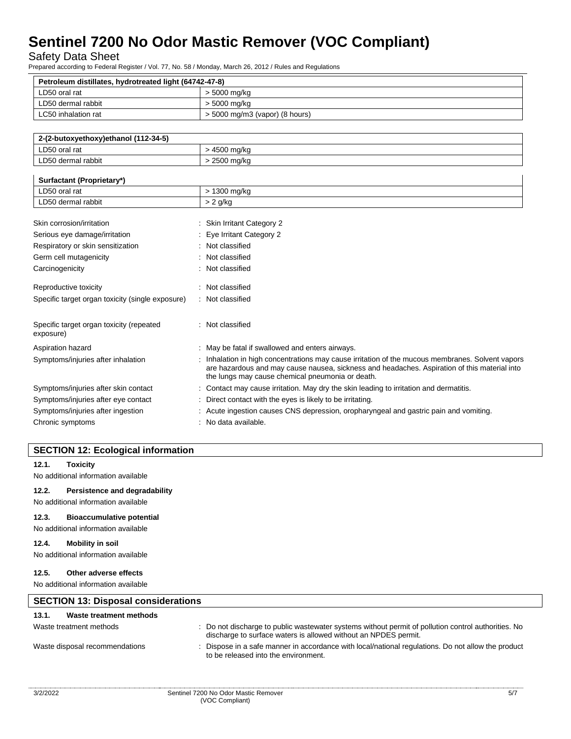Safety Data Sheet

Prepared according to Federal Register / Vol. 77, No. 58 / Monday, March 26, 2012 / Rules and Regulations

| Petroleum distillates, hydrotreated light (64742-47-8) |                                  |  |
|--------------------------------------------------------|----------------------------------|--|
| LD50 oral rat                                          | > 5000 mg/kg                     |  |
| LD50 dermal rabbit                                     | > 5000 mg/kg                     |  |
| LC50 inhalation rat                                    | $>$ 5000 mg/m3 (vapor) (8 hours) |  |

| LD50 oral rat<br>· 4500 mg/ka    |  |
|----------------------------------|--|
| LD50 dermal rabbit<br>2500 ma/ka |  |

| Surfactant (Proprietary*)                             |                                                                                                                                                                                                                                                    |
|-------------------------------------------------------|----------------------------------------------------------------------------------------------------------------------------------------------------------------------------------------------------------------------------------------------------|
| LD50 oral rat                                         | > 1300 mg/kg                                                                                                                                                                                                                                       |
| LD50 dermal rabbit                                    | $> 2$ g/kg                                                                                                                                                                                                                                         |
|                                                       |                                                                                                                                                                                                                                                    |
| Skin corrosion/irritation                             | : Skin Irritant Category 2                                                                                                                                                                                                                         |
| Serious eye damage/irritation                         | : Eye Irritant Category 2                                                                                                                                                                                                                          |
| Respiratory or skin sensitization                     | : Not classified                                                                                                                                                                                                                                   |
| Germ cell mutagenicity                                | : Not classified                                                                                                                                                                                                                                   |
| Carcinogenicity                                       | Not classified                                                                                                                                                                                                                                     |
| Reproductive toxicity                                 | Not classified                                                                                                                                                                                                                                     |
| Specific target organ toxicity (single exposure)      | : Not classified                                                                                                                                                                                                                                   |
| Specific target organ toxicity (repeated<br>exposure) | : Not classified                                                                                                                                                                                                                                   |
| Aspiration hazard                                     | : May be fatal if swallowed and enters airways.                                                                                                                                                                                                    |
| Symptoms/injuries after inhalation                    | Inhalation in high concentrations may cause irritation of the mucous membranes. Solvent vapors<br>are hazardous and may cause nausea, sickness and headaches. Aspiration of this material into<br>the lungs may cause chemical pneumonia or death. |
| Symptoms/injuries after skin contact                  | Contact may cause irritation. May dry the skin leading to irritation and dermatitis.                                                                                                                                                               |
| Symptoms/injuries after eye contact                   | Direct contact with the eyes is likely to be irritating.                                                                                                                                                                                           |
| Symptoms/injuries after ingestion                     | Acute ingestion causes CNS depression, oropharyngeal and gastric pain and vomiting.                                                                                                                                                                |
| Chronic symptoms                                      | No data available.                                                                                                                                                                                                                                 |

## **SECTION 12: Ecological information**

## **12.1. Toxicity**

No additional information available

## **12.2. Persistence and degradability**

No additional information available

## **12.3. Bioaccumulative potential**

No additional information available

## **12.4. Mobility in soil**

No additional information available

## **12.5. Other adverse effects**

No additional information available

| <b>SECTION 13: Disposal considerations</b> |                                                                                                                                                                        |
|--------------------------------------------|------------------------------------------------------------------------------------------------------------------------------------------------------------------------|
| Waste treatment methods<br>13.1.           |                                                                                                                                                                        |
| Waste treatment methods                    | : Do not discharge to public wastewater systems without permit of pollution control authorities. No<br>discharge to surface waters is allowed without an NPDES permit. |
| Waste disposal recommendations             | : Dispose in a safe manner in accordance with local/national regulations. Do not allow the product<br>to be released into the environment.                             |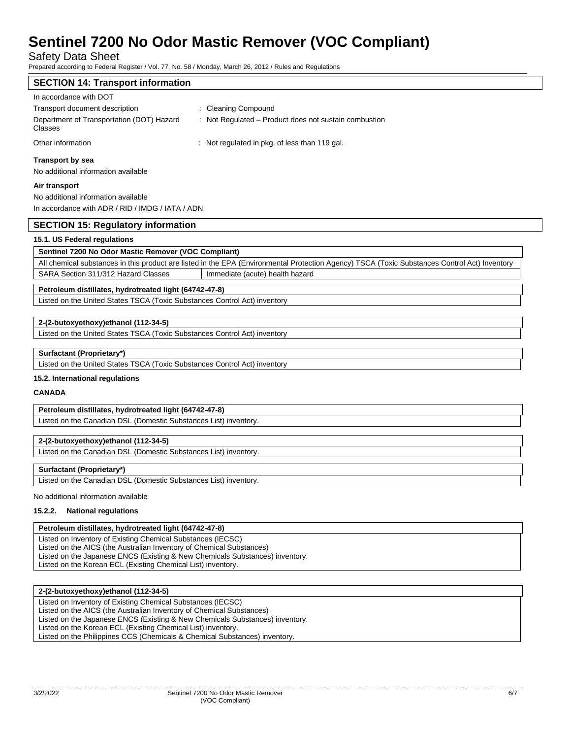Safety Data Sheet

Prepared according to Federal Register / Vol. 77, No. 58 / Monday, March 26, 2012 / Rules and Regulations

## **SECTION 14: Transport information**

| In accordance with DOT                               |                                                       |
|------------------------------------------------------|-------------------------------------------------------|
| Transport document description                       | : Cleaning Compound                                   |
| Department of Transportation (DOT) Hazard<br>Classes | : Not Regulated – Product does not sustain combustion |
| Other information                                    | : Not regulated in pkg. of less than 119 gal.         |

#### **Transport by sea**

No additional information available

#### **Air transport**

No additional information available In accordance with ADR / RID / IMDG / IATA / ADN

## **SECTION 15: Regulatory information**

## **15.1. US Federal regulations**

## **Sentinel 7200 No Odor Mastic Remover (VOC Compliant)**

All chemical substances in this product are listed in the EPA (Environmental Protection Agency) TSCA (Toxic Substances Control Act) Inventory SARA Section 311/312 Hazard Classes | Immediate (acute) health hazard

## **Petroleum distillates, hydrotreated light (64742-47-8)**

Listed on the United States TSCA (Toxic Substances Control Act) inventory

## **2-(2-butoxyethoxy)ethanol (112-34-5)**

Listed on the United States TSCA (Toxic Substances Control Act) inventory

## **Surfactant (Proprietary\*)**

Listed on the United States TSCA (Toxic Substances Control Act) inventory

## **15.2. International regulations**

## **CANADA**

**Petroleum distillates, hydrotreated light (64742-47-8)** Listed on the Canadian DSL (Domestic Substances List) inventory.

## **2-(2-butoxyethoxy)ethanol (112-34-5)**

Listed on the Canadian DSL (Domestic Substances List) inventory.

## **Surfactant (Proprietary\*)**

Listed on the Canadian DSL (Domestic Substances List) inventory.

#### No additional information available

## **15.2.2. National regulations**

## **Petroleum distillates, hydrotreated light (64742-47-8)**

Listed on Inventory of Existing Chemical Substances (IECSC) Listed on the AICS (the Australian Inventory of Chemical Substances) Listed on the Japanese ENCS (Existing & New Chemicals Substances) inventory. Listed on the Korean ECL (Existing Chemical List) inventory.

## **2-(2-butoxyethoxy)ethanol (112-34-5)**

Listed on Inventory of Existing Chemical Substances (IECSC) Listed on the AICS (the Australian Inventory of Chemical Substances) Listed on the Japanese ENCS (Existing & New Chemicals Substances) inventory. Listed on the Korean ECL (Existing Chemical List) inventory. Listed on the Philippines CCS (Chemicals & Chemical Substances) inventory.